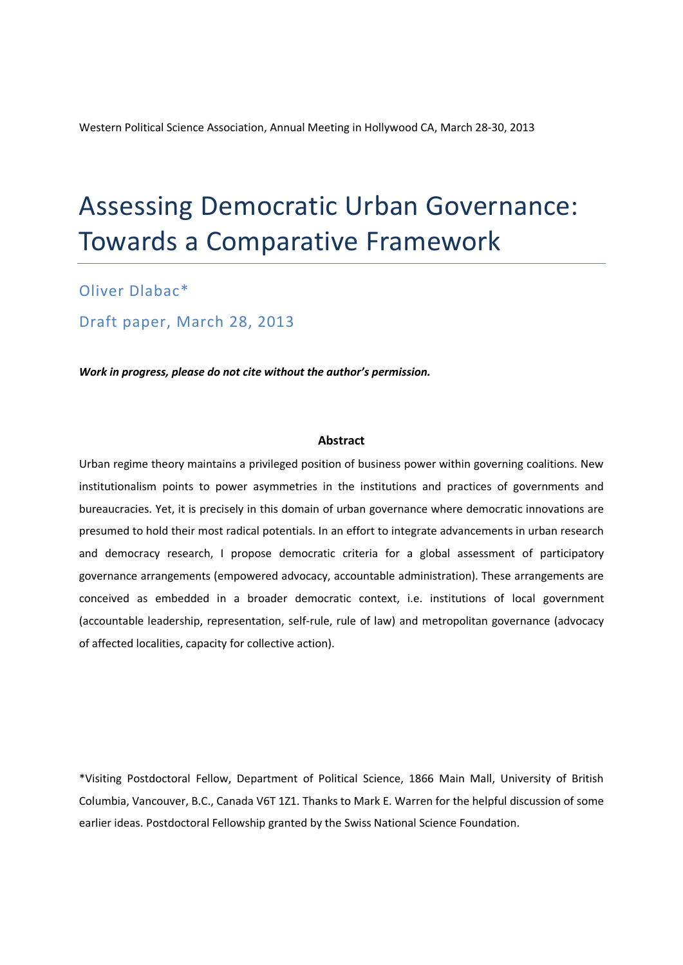Western Political Science Association, Annual Meeting in Hollywood CA, March 28-30, 2013

# Assessing Democratic Urban Governance: Towards a Comparative Framework

Oliver Dlabac\*

Draft paper, March 28, 2013

*Work in progress, please do not cite without the author's permission.*

#### **Abstract**

Urban regime theory maintains a privileged position of business power within governing coalitions. New institutionalism points to power asymmetries in the institutions and practices of governments and bureaucracies. Yet, it is precisely in this domain of urban governance where democratic innovations are presumed to hold their most radical potentials. In an effort to integrate advancements in urban research and democracy research, I propose democratic criteria for a global assessment of participatory governance arrangements (empowered advocacy, accountable administration). These arrangements are conceived as embedded in a broader democratic context, i.e. institutions of local government (accountable leadership, representation, self-rule, rule of law) and metropolitan governance (advocacy of affected localities, capacity for collective action).

\*Visiting Postdoctoral Fellow, Department of Political Science, 1866 Main Mall, University of British Columbia, Vancouver, B.C., Canada V6T 1Z1. Thanks to Mark E. Warren for the helpful discussion of some earlier ideas. Postdoctoral Fellowship granted by the Swiss National Science Foundation.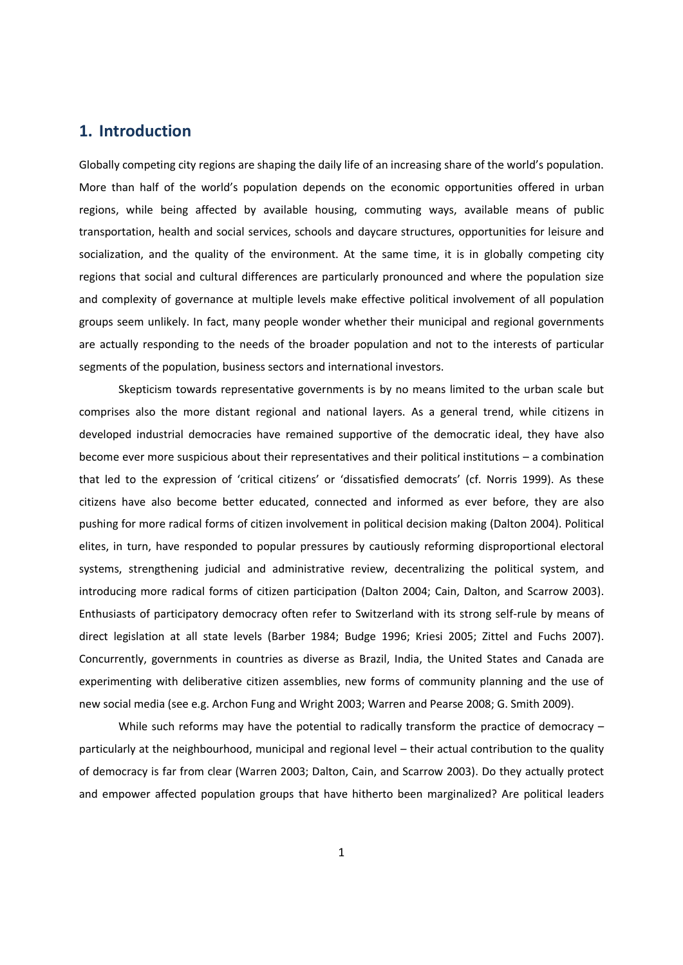## **1. Introduction**

Globally competing city regions are shaping the daily life of an increasing share of the world's population. More than half of the world's population depends on the economic opportunities offered in urban regions, while being affected by available housing, commuting ways, available means of public transportation, health and social services, schools and daycare structures, opportunities for leisure and socialization, and the quality of the environment. At the same time, it is in globally competing city regions that social and cultural differences are particularly pronounced and where the population size and complexity of governance at multiple levels make effective political involvement of all population groups seem unlikely. In fact, many people wonder whether their municipal and regional governments are actually responding to the needs of the broader population and not to the interests of particular segments of the population, business sectors and international investors.

Skepticism towards representative governments is by no means limited to the urban scale but comprises also the more distant regional and national layers. As a general trend, while citizens in developed industrial democracies have remained supportive of the democratic ideal, they have also become ever more suspicious about their representatives and their political institutions – a combination that led to the expression of 'critical citizens' or 'dissatisfied democrats' (cf. Norris 1999). As these citizens have also become better educated, connected and informed as ever before, they are also pushing for more radical forms of citizen involvement in political decision making (Dalton 2004). Political elites, in turn, have responded to popular pressures by cautiously reforming disproportional electoral systems, strengthening judicial and administrative review, decentralizing the political system, and introducing more radical forms of citizen participation (Dalton 2004; Cain, Dalton, and Scarrow 2003). Enthusiasts of participatory democracy often refer to Switzerland with its strong self-rule by means of direct legislation at all state levels (Barber 1984; Budge 1996; Kriesi 2005; Zittel and Fuchs 2007). Concurrently, governments in countries as diverse as Brazil, India, the United States and Canada are experimenting with deliberative citizen assemblies, new forms of community planning and the use of new social media (see e.g. Archon Fung and Wright 2003; Warren and Pearse 2008; G. Smith 2009).

While such reforms may have the potential to radically transform the practice of democracy – particularly at the neighbourhood, municipal and regional level – their actual contribution to the quality of democracy is far from clear (Warren 2003; Dalton, Cain, and Scarrow 2003). Do they actually protect and empower affected population groups that have hitherto been marginalized? Are political leaders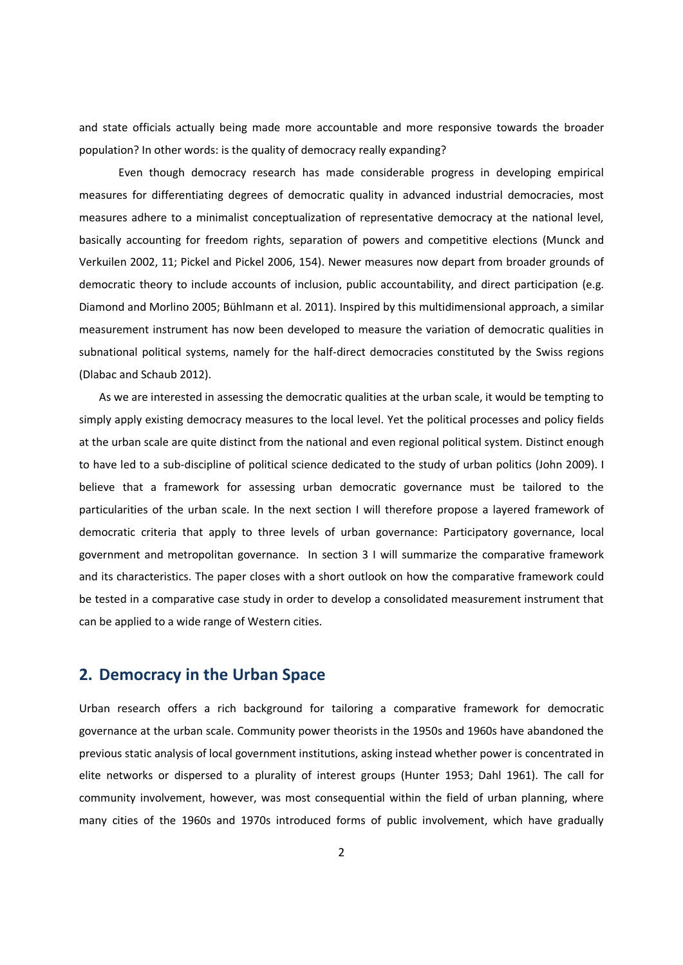and state officials actually being made more accountable and more responsive towards the broader population? In other words: is the quality of democracy really expanding?

Even though democracy research has made considerable progress in developing empirical measures for differentiating degrees of democratic quality in advanced industrial democracies, most measures adhere to a minimalist conceptualization of representative democracy at the national level, basically accounting for freedom rights, separation of powers and competitive elections (Munck and Verkuilen 2002, 11; Pickel and Pickel 2006, 154). Newer measures now depart from broader grounds of democratic theory to include accounts of inclusion, public accountability, and direct participation (e.g. Diamond and Morlino 2005; Bühlmann et al. 2011). Inspired by this multidimensional approach, a similar measurement instrument has now been developed to measure the variation of democratic qualities in subnational political systems, namely for the half-direct democracies constituted by the Swiss regions (Dlabac and Schaub 2012).

As we are interested in assessing the democratic qualities at the urban scale, it would be tempting to simply apply existing democracy measures to the local level. Yet the political processes and policy fields at the urban scale are quite distinct from the national and even regional political system. Distinct enough to have led to a sub-discipline of political science dedicated to the study of urban politics (John 2009). I believe that a framework for assessing urban democratic governance must be tailored to the particularities of the urban scale. In the next section I will therefore propose a layered framework of democratic criteria that apply to three levels of urban governance: Participatory governance, local government and metropolitan governance. In section 3 I will summarize the comparative framework and its characteristics. The paper closes with a short outlook on how the comparative framework could be tested in a comparative case study in order to develop a consolidated measurement instrument that can be applied to a wide range of Western cities.

### **2. Democracy in the Urban Space**

Urban research offers a rich background for tailoring a comparative framework for democratic governance at the urban scale. Community power theorists in the 1950s and 1960s have abandoned the previous static analysis of local government institutions, asking instead whether power is concentrated in elite networks or dispersed to a plurality of interest groups (Hunter 1953; Dahl 1961). The call for community involvement, however, was most consequential within the field of urban planning, where many cities of the 1960s and 1970s introduced forms of public involvement, which have gradually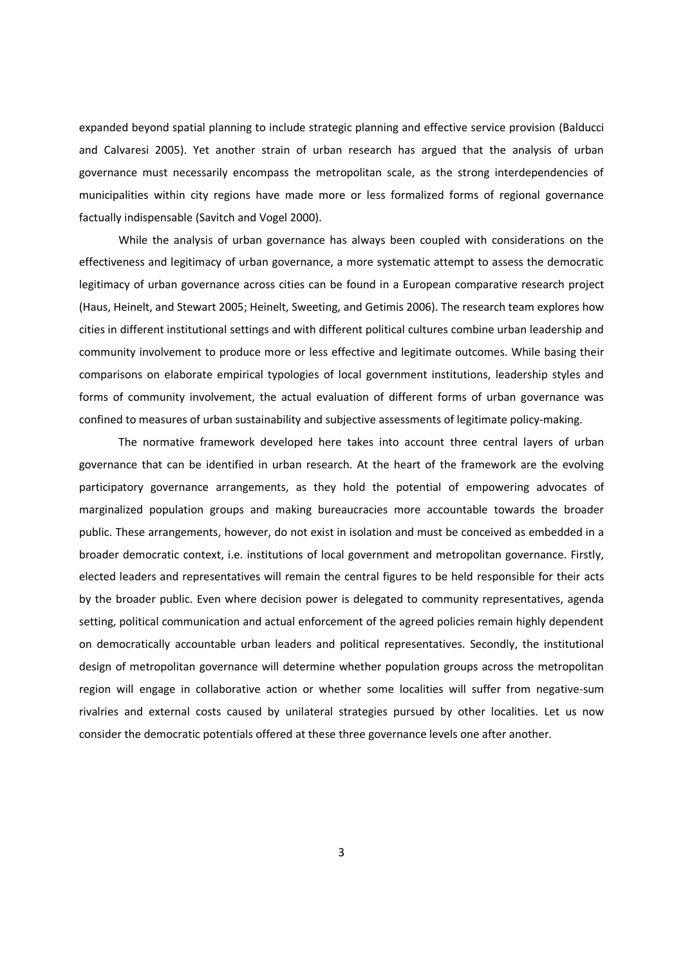expanded beyond spatial planning to include strategic planning and effective service provision (Balducci and Calvaresi 2005). Yet another strain of urban research has argued that the analysis of urban governance must necessarily encompass the metropolitan scale, as the strong interdependencies of municipalities within city regions have made more or less formalized forms of regional governance factually indispensable (Savitch and Vogel 2000).

While the analysis of urban governance has always been coupled with considerations on the effectiveness and legitimacy of urban governance, a more systematic attempt to assess the democratic legitimacy of urban governance across cities can be found in a European comparative research project (Haus, Heinelt, and Stewart 2005; Heinelt, Sweeting, and Getimis 2006). The research team explores how cities in different institutional settings and with different political cultures combine urban leadership and community involvement to produce more or less effective and legitimate outcomes. While basing their comparisons on elaborate empirical typologies of local government institutions, leadership styles and forms of community involvement, the actual evaluation of different forms of urban governance was confined to measures of urban sustainability and subjective assessments of legitimate policy-making.

The normative framework developed here takes into account three central layers of urban governance that can be identified in urban research. At the heart of the framework are the evolving participatory governance arrangements, as they hold the potential of empowering advocates of marginalized population groups and making bureaucracies more accountable towards the broader public. These arrangements, however, do not exist in isolation and must be conceived as embedded in a broader democratic context, i.e. institutions of local government and metropolitan governance. Firstly, elected leaders and representatives will remain the central figures to be held responsible for their acts by the broader public. Even where decision power is delegated to community representatives, agenda setting, political communication and actual enforcement of the agreed policies remain highly dependent on democratically accountable urban leaders and political representatives. Secondly, the institutional design of metropolitan governance will determine whether population groups across the metropolitan region will engage in collaborative action or whether some localities will suffer from negative-sum rivalries and external costs caused by unilateral strategies pursued by other localities. Let us now consider the democratic potentials offered at these three governance levels one after another.

3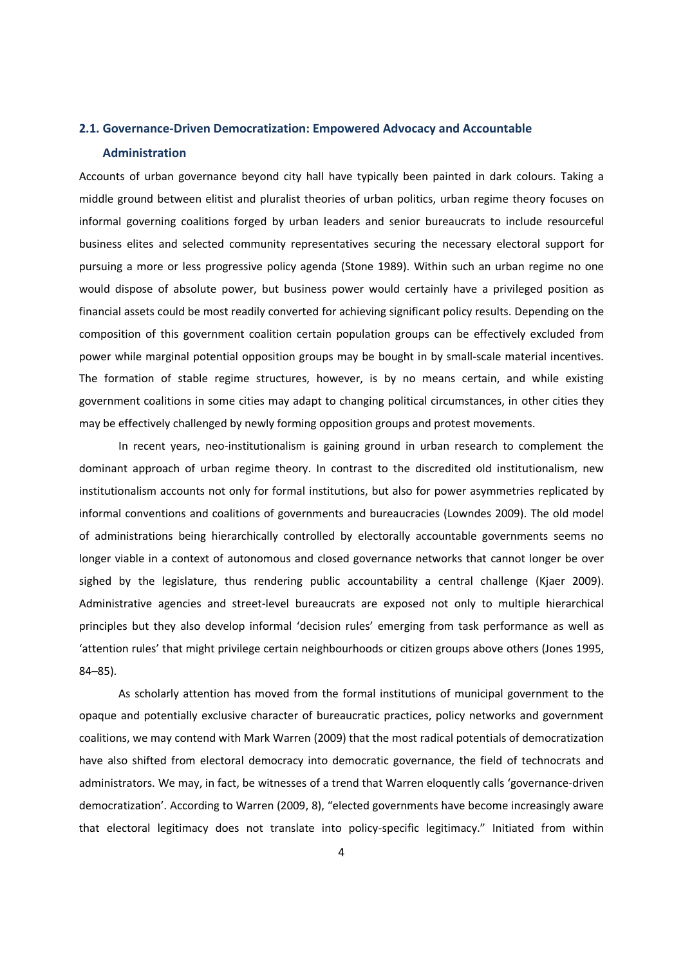# **2.1. Governance-Driven Democratization: Empowered Advocacy and Accountable**

#### **Administration**

Accounts of urban governance beyond city hall have typically been painted in dark colours. Taking a middle ground between elitist and pluralist theories of urban politics, urban regime theory focuses on informal governing coalitions forged by urban leaders and senior bureaucrats to include resourceful business elites and selected community representatives securing the necessary electoral support for pursuing a more or less progressive policy agenda (Stone 1989). Within such an urban regime no one would dispose of absolute power, but business power would certainly have a privileged position as financial assets could be most readily converted for achieving significant policy results. Depending on the composition of this government coalition certain population groups can be effectively excluded from power while marginal potential opposition groups may be bought in by small-scale material incentives. The formation of stable regime structures, however, is by no means certain, and while existing government coalitions in some cities may adapt to changing political circumstances, in other cities they may be effectively challenged by newly forming opposition groups and protest movements.

In recent years, neo-institutionalism is gaining ground in urban research to complement the dominant approach of urban regime theory. In contrast to the discredited old institutionalism, new institutionalism accounts not only for formal institutions, but also for power asymmetries replicated by informal conventions and coalitions of governments and bureaucracies (Lowndes 2009). The old model of administrations being hierarchically controlled by electorally accountable governments seems no longer viable in a context of autonomous and closed governance networks that cannot longer be over sighed by the legislature, thus rendering public accountability a central challenge (Kjaer 2009). Administrative agencies and street-level bureaucrats are exposed not only to multiple hierarchical principles but they also develop informal 'decision rules' emerging from task performance as well as 'attention rules' that might privilege certain neighbourhoods or citizen groups above others (Jones 1995,

84–85).<br>As scholarly attention has moved from the formal institutions of municipal government to the opaque and potentially exclusive character of bureaucratic practices, policy networks and government coalitions, we may contend with Mark Warren (2009) that the most radical potentials of democratization have also shifted from electoral democracy into democratic governance, the field of technocrats and administrators. We may, in fact, be witnesses of a trend that Warren eloquently calls 'governance-driven democratization'. According to Warren (2009, 8), "elected governments have become increasingly aware that electoral legitimacy does not translate into policy-specific legitimacy." Initiated from within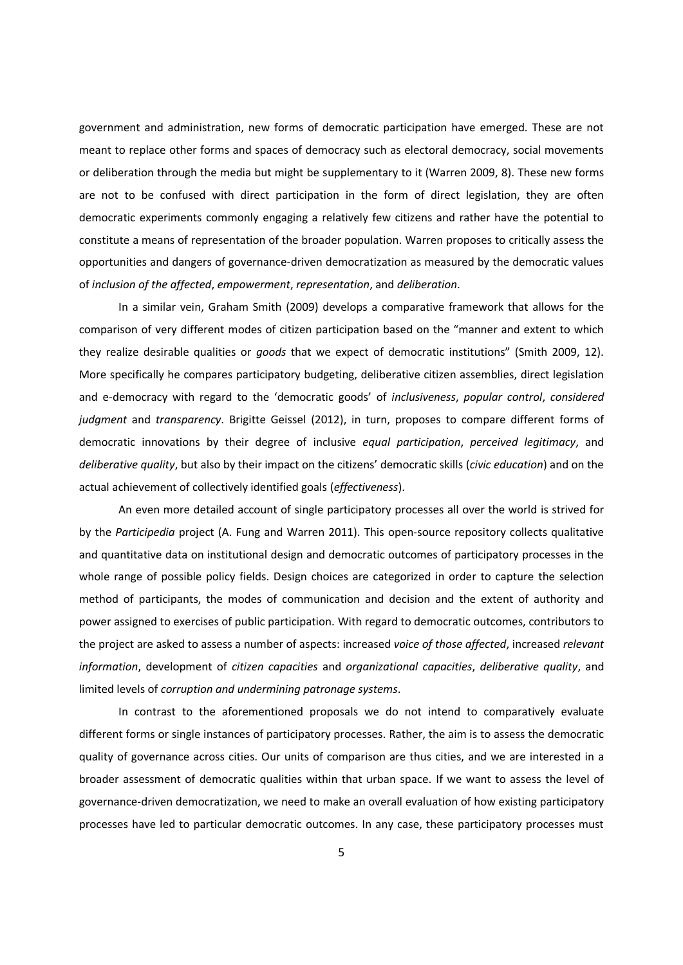government and administration, new forms of democratic participation have emerged. These are not meant to replace other forms and spaces of democracy such as electoral democracy, social movements or deliberation through the media but might be supplementary to it (Warren 2009, 8). These new forms are not to be confused with direct participation in the form of direct legislation, they are often democratic experiments commonly engaging a relatively few citizens and rather have the potential to constitute a means of representation of the broader population. Warren proposes to critically assess the opportunities and dangers of governance-driven democratization as measured by the democratic values of *inclusion of the affected*, *empowerment*, *representation*, and *deliberation*.

In a similar vein, Graham Smith (2009) develops a comparative framework that allows for the comparison of very different modes of citizen participation based on the "manner and extent to which they realize desirable qualities or *goods* that we expect of democratic institutions" (Smith 2009, 12). More specifically he compares participatory budgeting, deliberative citizen assemblies, direct legislation and e-democracy with regard to the 'democratic goods' of *inclusiveness*, *popular control*, *considered judgment* and *transparency*. Brigitte Geissel (2012), in turn, proposes to compare different forms of democratic innovations by their degree of inclusive *equal participation*, *perceived legitimacy*, and *deliberative quality*, but also by their impact on the citizens' democratic skills (*civic education*) and on the actual achievement of collectively identified goals (*effectiveness*).

An even more detailed account of single participatory processes all over the world is strived for by the *Participedia* project (A. Fung and Warren 2011). This open-source repository collects qualitative and quantitative data on institutional design and democratic outcomes of participatory processes in the whole range of possible policy fields. Design choices are categorized in order to capture the selection method of participants, the modes of communication and decision and the extent of authority and power assigned to exercises of public participation. With regard to democratic outcomes, contributors to the project are asked to assess a number of aspects: increased *voice of those affected*, increased *relevant information*, development of *citizen capacities* and *organizational capacities*, *deliberative quality*, and limited levels of *corruption and undermining patronage systems*.

In contrast to the aforementioned proposals we do not intend to comparatively evaluate different forms or single instances of participatory processes. Rather, the aim is to assess the democratic quality of governance across cities. Our units of comparison are thus cities, and we are interested in a broader assessment of democratic qualities within that urban space. If we want to assess the level of governance-driven democratization, we need to make an overall evaluation of how existing participatory processes have led to particular democratic outcomes. In any case, these participatory processes must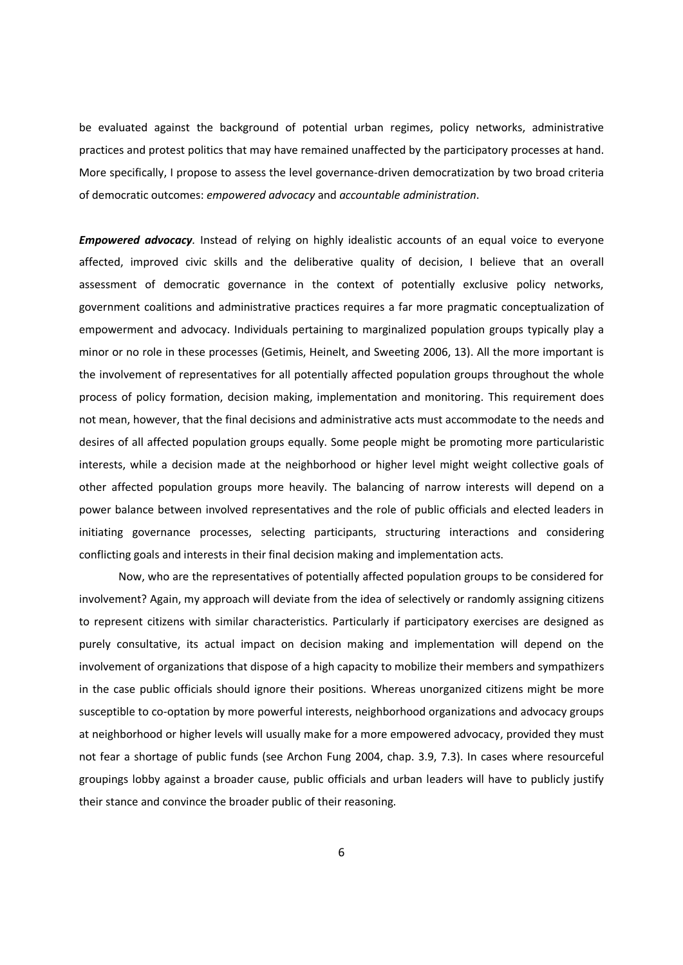be evaluated against the background of potential urban regimes, policy networks, administrative practices and protest politics that may have remained unaffected by the participatory processes at hand. More specifically, I propose to assess the level governance-driven democratization by two broad criteria of democratic outcomes: *empowered advocacy* and *accountable administration*.

*Empowered advocacy.* Instead of relying on highly idealistic accounts of an equal voice to everyone affected, improved civic skills and the deliberative quality of decision, I believe that an overall assessment of democratic governance in the context of potentially exclusive policy networks, government coalitions and administrative practices requires a far more pragmatic conceptualization of empowerment and advocacy. Individuals pertaining to marginalized population groups typically play a minor or no role in these processes (Getimis, Heinelt, and Sweeting 2006, 13). All the more important is the involvement of representatives for all potentially affected population groups throughout the whole process of policy formation, decision making, implementation and monitoring. This requirement does not mean, however, that the final decisions and administrative acts must accommodate to the needs and desires of all affected population groups equally. Some people might be promoting more particularistic interests, while a decision made at the neighborhood or higher level might weight collective goals of other affected population groups more heavily. The balancing of narrow interests will depend on a power balance between involved representatives and the role of public officials and elected leaders in initiating governance processes, selecting participants, structuring interactions and considering conflicting goals and interests in their final decision making and implementation acts.

Now, who are the representatives of potentially affected population groups to be considered for involvement? Again, my approach will deviate from the idea of selectively or randomly assigning citizens to represent citizens with similar characteristics. Particularly if participatory exercises are designed as purely consultative, its actual impact on decision making and implementation will depend on the involvement of organizations that dispose of a high capacity to mobilize their members and sympathizers in the case public officials should ignore their positions. Whereas unorganized citizens might be more susceptible to co-optation by more powerful interests, neighborhood organizations and advocacy groups at neighborhood or higher levels will usually make for a more empowered advocacy, provided they must not fear a shortage of public funds (see Archon Fung 2004, chap. 3.9, 7.3). In cases where resourceful groupings lobby against a broader cause, public officials and urban leaders will have to publicly justify their stance and convince the broader public of their reasoning.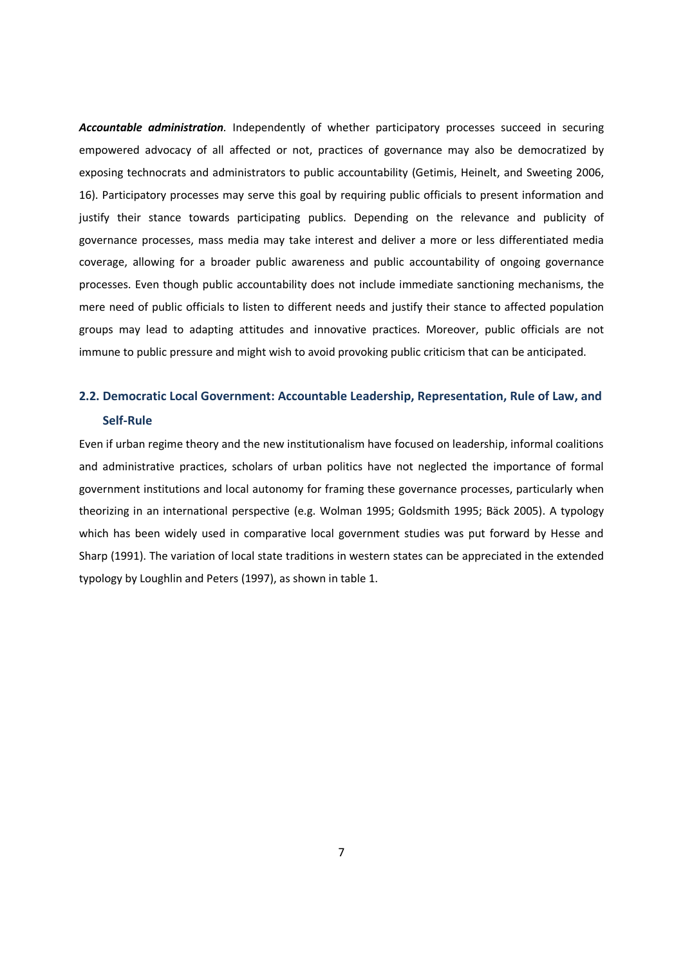*Accountable administration.* Independently of whether participatory processes succeed in securing empowered advocacy of all affected or not, practices of governance may also be democratized by exposing technocrats and administrators to public accountability (Getimis, Heinelt, and Sweeting 2006, 16). Participatory processes may serve this goal by requiring public officials to present information and justify their stance towards participating publics. Depending on the relevance and publicity of governance processes, mass media may take interest and deliver a more or less differentiated media coverage, allowing for a broader public awareness and public accountability of ongoing governance processes. Even though public accountability does not include immediate sanctioning mechanisms, the mere need of public officials to listen to different needs and justify their stance to affected population groups may lead to adapting attitudes and innovative practices. Moreover, public officials are not immune to public pressure and might wish to avoid provoking public criticism that can be anticipated.

# **2.2. Democratic Local Government: Accountable Leadership, Representation, Rule of Law, and Self-Rule**

Even if urban regime theory and the new institutionalism have focused on leadership, informal coalitions and administrative practices, scholars of urban politics have not neglected the importance of formal government institutions and local autonomy for framing these governance processes, particularly when theorizing in an international perspective (e.g. Wolman 1995; Goldsmith 1995; Bäck 2005). A typology which has been widely used in comparative local government studies was put forward by Hesse and Sharp (1991). The variation of local state traditions in western states can be appreciated in the extended typology by Loughlin and Peters (1997), as shown in table 1.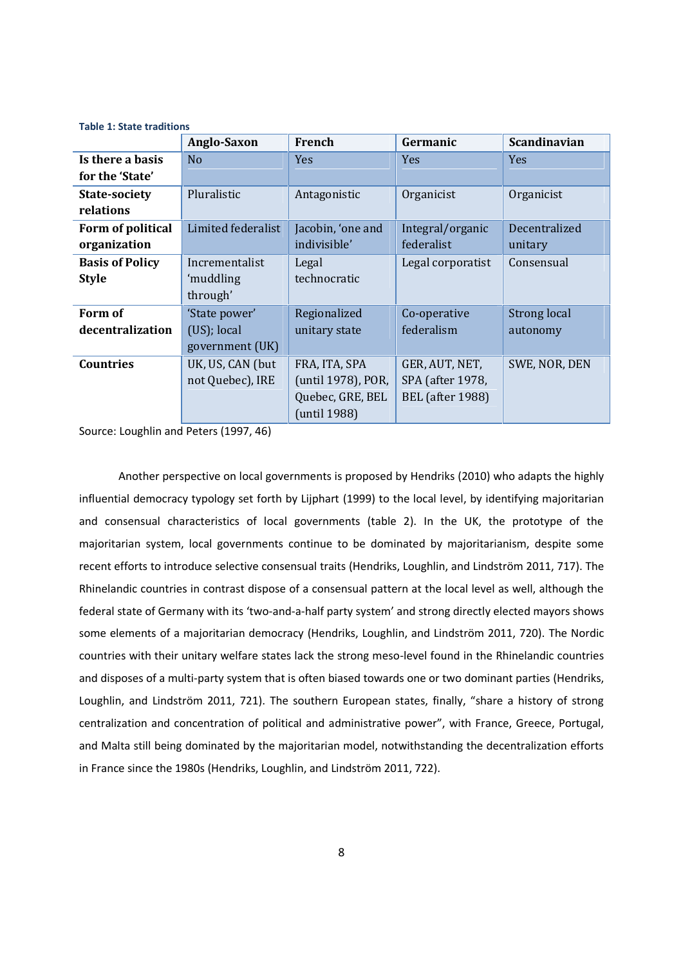|                        | Anglo-Saxon        | French             | Germanic                | <b>Scandinavian</b> |
|------------------------|--------------------|--------------------|-------------------------|---------------------|
| Is there a basis       | N <sub>o</sub>     | Yes                | Yes                     | <b>Yes</b>          |
| for the 'State'        |                    |                    |                         |                     |
| <b>State-society</b>   | Pluralistic        | Antagonistic       | Organicist              | Organicist          |
| relations              |                    |                    |                         |                     |
| Form of political      | Limited federalist | Jacobin, 'one and  | Integral/organic        | Decentralized       |
| organization           |                    | indivisible'       | federalist              | unitary             |
| <b>Basis of Policy</b> | Incrementalist     | Legal              | Legal corporatist       | Consensual          |
| <b>Style</b>           | 'muddling          | technocratic       |                         |                     |
|                        | through'           |                    |                         |                     |
| Form of                | 'State power'      | Regionalized       | Co-operative            | Strong local        |
| decentralization       | (US); local        | unitary state      | federalism              | autonomy            |
|                        | government (UK)    |                    |                         |                     |
| <b>Countries</b>       | UK, US, CAN (but   | FRA, ITA, SPA      | GER, AUT, NET,          | SWE, NOR, DEN       |
|                        | not Quebec), IRE   | (until 1978), POR, | SPA (after 1978,        |                     |
|                        |                    | Quebec, GRE, BEL   | <b>BEL</b> (after 1988) |                     |
|                        |                    | (until 1988)       |                         |                     |

**Table 1: State traditions**

Source: Loughlin and Peters (1997, 46)

Another perspective on local governments is proposed by Hendriks (2010) who adapts the highly influential democracy typology set forth by Lijphart (1999) to the local level, by identifying majoritarian and consensual characteristics of local governments (table 2). In the UK, the prototype of the majoritarian system, local governments continue to be dominated by majoritarianism, despite some recent efforts to introduce selective consensual traits (Hendriks, Loughlin, and Lindström 2011, 717). The Rhinelandic countries in contrast dispose of a consensual pattern at the local level as well, although the federal state of Germany with its 'two-and-a-half party system' and strong directly elected mayors shows some elements of a majoritarian democracy (Hendriks, Loughlin, and Lindström 2011, 720). The Nordic countries with their unitary welfare states lack the strong meso-level found in the Rhinelandic countries and disposes of a multi-party system that is often biased towards one or two dominant parties (Hendriks, Loughlin, and Lindström 2011, 721). The southern European states, finally, "share a history of strong centralization and concentration of political and administrative power", with France, Greece, Portugal, and Malta still being dominated by the majoritarian model, notwithstanding the decentralization efforts in France since the 1980s (Hendriks, Loughlin, and Lindström 2011, 722).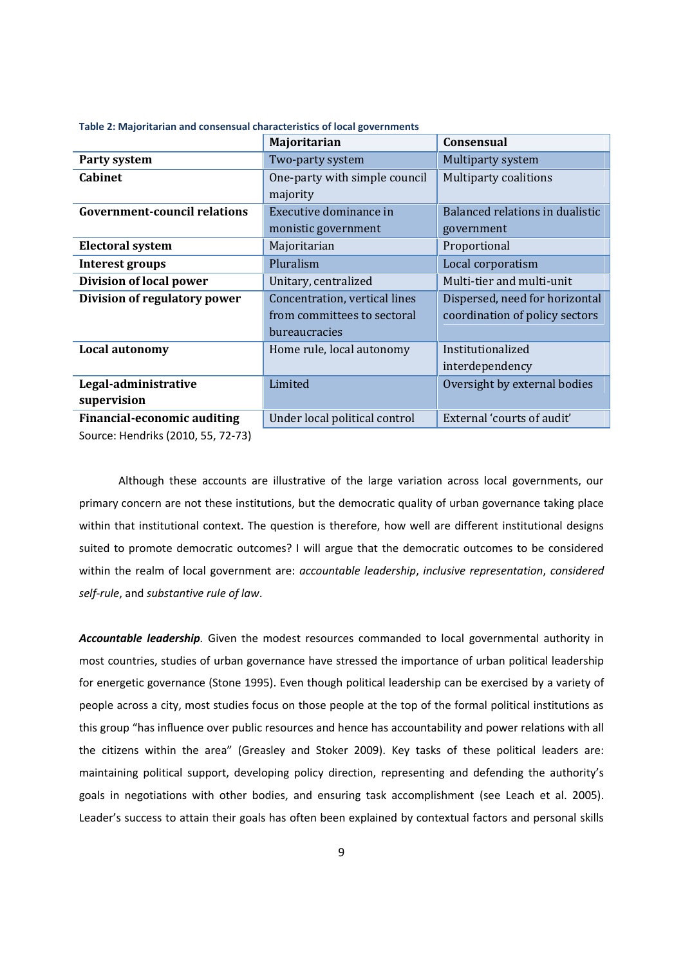|                                     | Majoritarian                  | <b>Consensual</b>               |  |
|-------------------------------------|-------------------------------|---------------------------------|--|
| Party system                        | Two-party system              | Multiparty system               |  |
| <b>Cabinet</b>                      | One-party with simple council | <b>Multiparty coalitions</b>    |  |
|                                     | majority                      |                                 |  |
| <b>Government-council relations</b> | Executive dominance in        | Balanced relations in dualistic |  |
|                                     | monistic government           | government                      |  |
| <b>Electoral system</b>             | Majoritarian                  | Proportional                    |  |
| <b>Interest groups</b>              | Pluralism                     | Local corporatism               |  |
| Division of local power             | Unitary, centralized          | Multi-tier and multi-unit       |  |
| Division of regulatory power        | Concentration, vertical lines | Dispersed, need for horizontal  |  |
|                                     | from committees to sectoral   | coordination of policy sectors  |  |
|                                     | bureaucracies                 |                                 |  |
| Local autonomy                      | Home rule, local autonomy     | Institutionalized               |  |
|                                     |                               | interdependency                 |  |
| Legal-administrative                | Limited                       | Oversight by external bodies    |  |
| supervision                         |                               |                                 |  |
| <b>Financial-economic auditing</b>  | Under local political control | External 'courts of audit'      |  |
| Source: Hendriks (2010, 55, 72-73)  |                               |                                 |  |

**Table 2: Majoritarian and consensual characteristics of local governments**

Although these accounts are illustrative of the large variation across local governments, our primary concern are not these institutions, but the democratic quality of urban governance taking place within that institutional context. The question is therefore, how well are different institutional designs suited to promote democratic outcomes? I will argue that the democratic outcomes to be considered within the realm of local government are: *accountable leadership*, *inclusive representation*, *considered self-rule*, and *substantive rule of law*.

*Accountable leadership.* Given the modest resources commanded to local governmental authority in most countries, studies of urban governance have stressed the importance of urban political leadership for energetic governance (Stone 1995). Even though political leadership can be exercised by a variety of people across a city, most studies focus on those people at the top of the formal political institutions as this group "has influence over public resources and hence has accountability and power relations with all the citizens within the area" (Greasley and Stoker 2009). Key tasks of these political leaders are: maintaining political support, developing policy direction, representing and defending the authority's goals in negotiations with other bodies, and ensuring task accomplishment (see Leach et al. 2005). Leader's success to attain their goals has often been explained by contextual factors and personal skills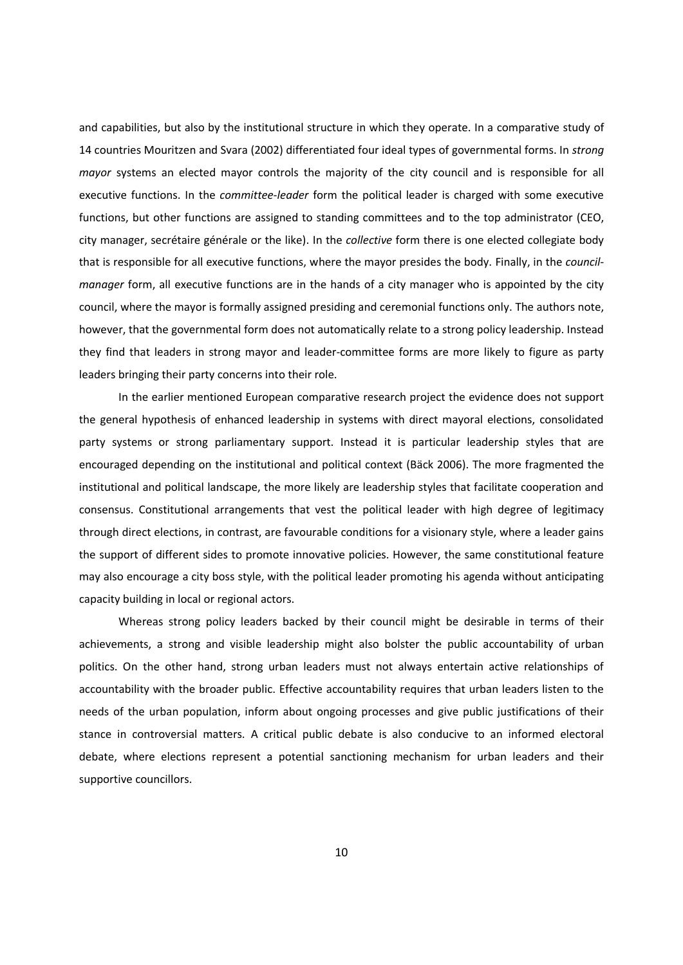and capabilities, but also by the institutional structure in which they operate. In a comparative study of 14 countries Mouritzen and Svara (2002) differentiated four ideal types of governmental forms. In *strong mayor* systems an elected mayor controls the majority of the city council and is responsible for all executive functions. In the *committee-leader* form the political leader is charged with some executive functions, but other functions are assigned to standing committees and to the top administrator (CEO, city manager, secrétaire générale or the like). In the *collective* form there is one elected collegiate body that is responsible for all executive functions, where the mayor presides the body. Finally, in the *council manager* form, all executive functions are in the hands of a city manager who is appointed by the city council, where the mayor is formally assigned presiding and ceremonial functions only. The authors note, however, that the governmental form does not automatically relate to a strong policy leadership. Instead they find that leaders in strong mayor and leader-committee forms are more likely to figure as party leaders bringing their party concerns into their role.

In the earlier mentioned European comparative research project the evidence does not support the general hypothesis of enhanced leadership in systems with direct mayoral elections, consolidated party systems or strong parliamentary support. Instead it is particular leadership styles that are encouraged depending on the institutional and political context (Bäck 2006). The more fragmented the institutional and political landscape, the more likely are leadership styles that facilitate cooperation and consensus. Constitutional arrangements that vest the political leader with high degree of legitimacy through direct elections, in contrast, are favourable conditions for a visionary style, where a leader gains the support of different sides to promote innovative policies. However, the same constitutional feature may also encourage a city boss style, with the political leader promoting his agenda without anticipating capacity building in local or regional actors.

Whereas strong policy leaders backed by their council might be desirable in terms of their achievements, a strong and visible leadership might also bolster the public accountability of urban politics. On the other hand, strong urban leaders must not always entertain active relationships of accountability with the broader public. Effective accountability requires that urban leaders listen to the needs of the urban population, inform about ongoing processes and give public justifications of their stance in controversial matters. A critical public debate is also conducive to an informed electoral debate, where elections represent a potential sanctioning mechanism for urban leaders and their supportive councillors.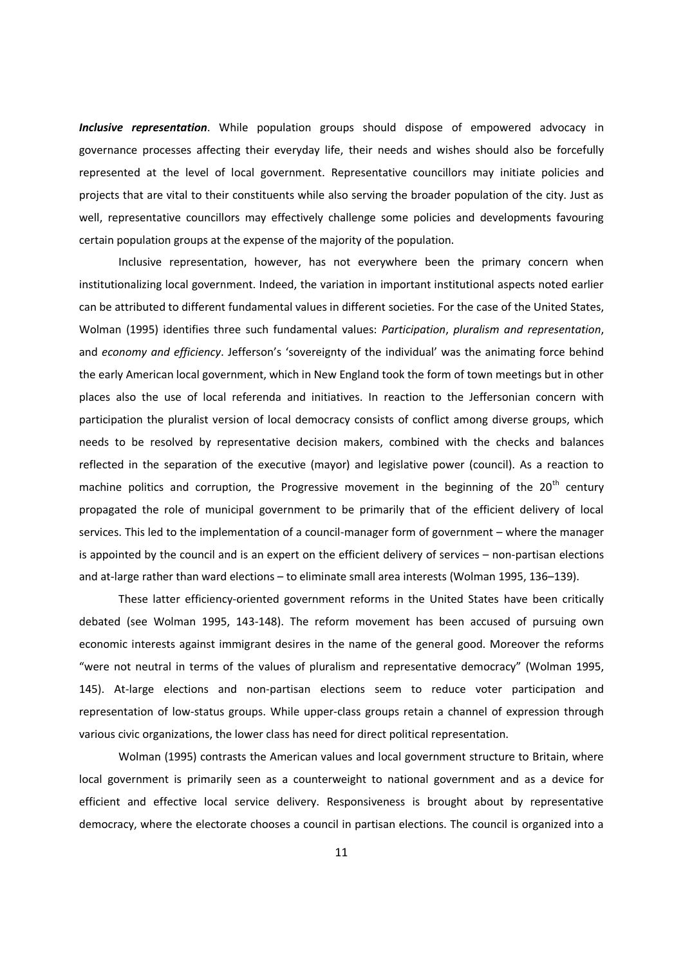*Inclusive representation*. While population groups should dispose of empowered advocacy in governance processes affecting their everyday life, their needs and wishes should also be forcefully represented at the level of local government. Representative councillors may initiate policies and projects that are vital to their constituents while also serving the broader population of the city. Just as well, representative councillors may effectively challenge some policies and developments favouring certain population groups at the expense of the majority of the population.

Inclusive representation, however, has not everywhere been the primary concern when institutionalizing local government. Indeed, the variation in important institutional aspects noted earlier can be attributed to different fundamental values in different societies. For the case of the United States, Wolman (1995) identifies three such fundamental values: *Participation*, *pluralism and representation*, and *economy and efficiency*. Jefferson's 'sovereignty of the individual' was the animating force behind the early American local government, which in New England took the form of town meetings but in other places also the use of local referenda and initiatives. In reaction to the Jeffersonian concern with participation the pluralist version of local democracy consists of conflict among diverse groups, which needs to be resolved by representative decision makers, combined with the checks and balances reflected in the separation of the executive (mayor) and legislative power (council). As a reaction to machine politics and corruption, the Progressive movement in the beginning of the 20<sup>th</sup> century propagated the role of municipal government to be primarily that of the efficient delivery of local services. This led to the implementation of a council-manager form of government – where the manager is appointed by the council and is an expert on the efficient delivery of services – non-partisan elections and at-large rather than ward elections – to eliminate small area interests (Wolman 1995, 136–139).

These latter efficiency-oriented government reforms in the United States have been critically debated (see Wolman 1995, 143-148). The reform movement has been accused of pursuing own economic interests against immigrant desires in the name of the general good. Moreover the reforms "were not neutral in terms of the values of pluralism and representative democracy" (Wolman 1995, 145). At-large elections and non-partisan elections seem to reduce voter participation and representation of low-status groups. While upper-class groups retain a channel of expression through various civic organizations, the lower class has need for direct political representation.

Wolman (1995) contrasts the American values and local government structure to Britain, where local government is primarily seen as a counterweight to national government and as a device for efficient and effective local service delivery. Responsiveness is brought about by representative democracy, where the electorate chooses a council in partisan elections. The council is organized into a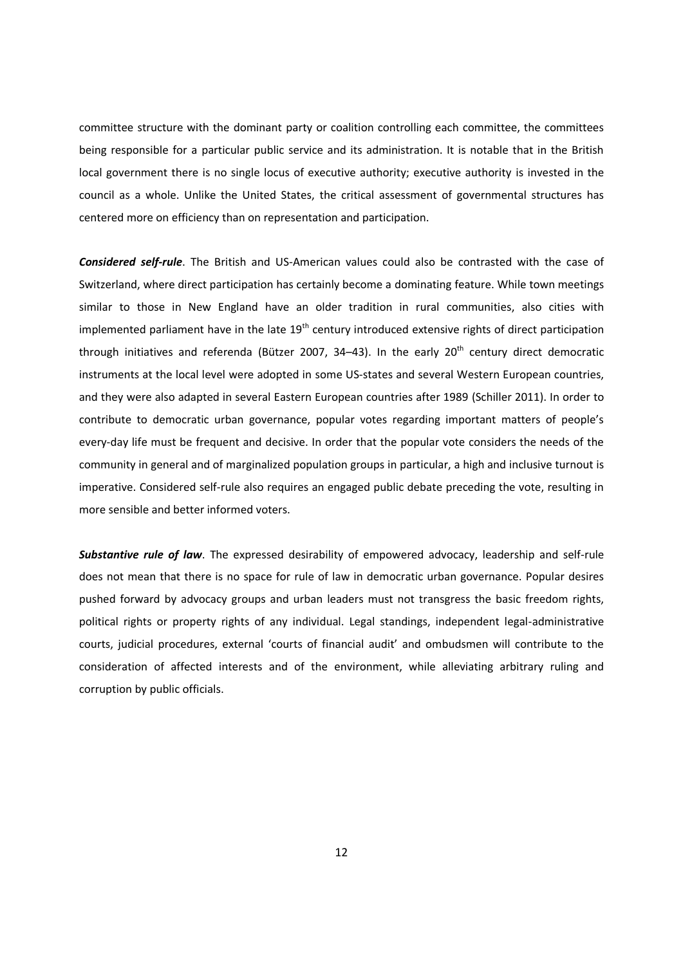committee structure with the dominant party or coalition controlling each committee, the committees being responsible for a particular public service and its administration. It is notable that in the British local government there is no single locus of executive authority; executive authority is invested in the council as a whole. Unlike the United States, the critical assessment of governmental structures has centered more on efficiency than on representation and participation.

*Considered self-rule*. The British and US-American values could also be contrasted with the case of Switzerland, where direct participation has certainly become a dominating feature. While town meetings similar to those in New England have an older tradition in rural communities, also cities with implemented parliament have in the late  $19<sup>th</sup>$  century introduced extensive rights of direct participation through initiatives and referenda (Bützer 2007, 34-43). In the early 20<sup>th</sup> century direct democratic instruments at the local level were adopted in some US-states and several Western European countries, and they were also adapted in several Eastern European countries after 1989 (Schiller 2011). In order to contribute to democratic urban governance, popular votes regarding important matters of people's every-day life must be frequent and decisive. In order that the popular vote considers the needs of the community in general and of marginalized population groups in particular, a high and inclusive turnout is imperative. Considered self-rule also requires an engaged public debate preceding the vote, resulting in more sensible and better informed voters.

*Substantive rule of law*. The expressed desirability of empowered advocacy, leadership and self-rule does not mean that there is no space for rule of law in democratic urban governance. Popular desires pushed forward by advocacy groups and urban leaders must not transgress the basic freedom rights, political rights or property rights of any individual. Legal standings, independent legal-administrative courts, judicial procedures, external 'courts of financial audit' and ombudsmen will contribute to the consideration of affected interests and of the environment, while alleviating arbitrary ruling and corruption by public officials.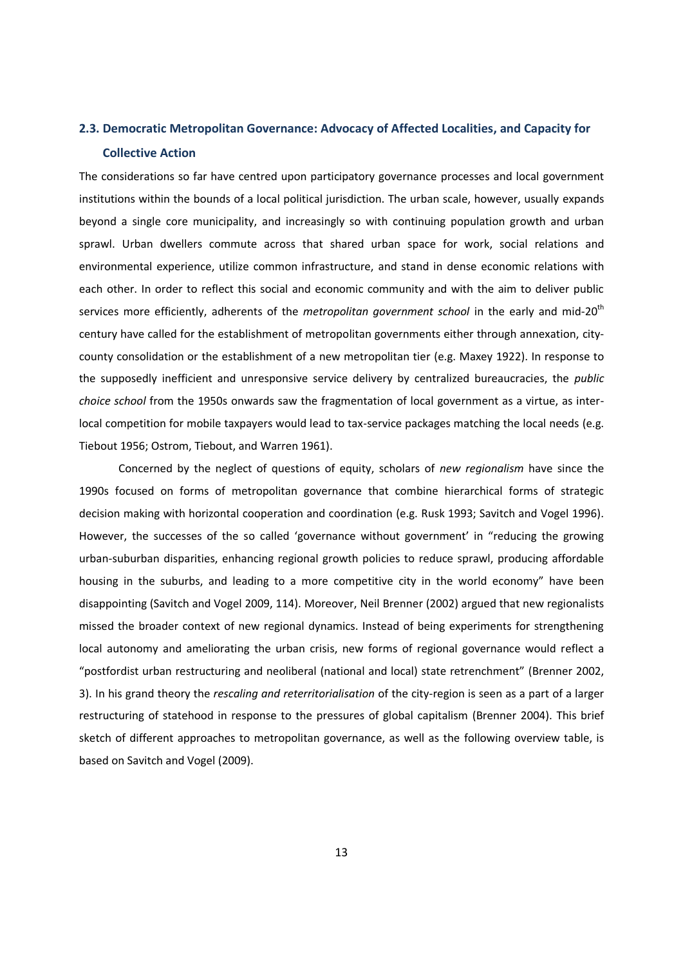# **2.3. Democratic Metropolitan Governance: Advocacy of Affected Localities, and Capacity for Collective Action**

The considerations so far have centred upon participatory governance processes and local government institutions within the bounds of a local political jurisdiction. The urban scale, however, usually expands beyond a single core municipality, and increasingly so with continuing population growth and urban sprawl. Urban dwellers commute across that shared urban space for work, social relations and environmental experience, utilize common infrastructure, and stand in dense economic relations with each other. In order to reflect this social and economic community and with the aim to deliver public services more efficiently, adherents of the *metropolitan government school* in the early and mid-20th century have called for the establishment of metropolitan governments either through annexation, city county consolidation or the establishment of a new metropolitan tier (e.g. Maxey 1922). In response to the supposedly inefficient and unresponsive service delivery by centralized bureaucracies, the *public choice school* from the 1950s onwards saw the fragmentation of local government as a virtue, as interlocal competition for mobile taxpayers would lead to tax-service packages matching the local needs (e.g. Tiebout 1956; Ostrom, Tiebout, and Warren 1961).

Concerned by the neglect of questions of equity, scholars of *new regionalism* have since the 1990s focused on forms of metropolitan governance that combine hierarchical forms of strategic decision making with horizontal cooperation and coordination (e.g. Rusk 1993; Savitch and Vogel 1996). However, the successes of the so called 'governance without government' in "reducing the growing urban-suburban disparities, enhancing regional growth policies to reduce sprawl, producing affordable housing in the suburbs, and leading to a more competitive city in the world economy" have been disappointing (Savitch and Vogel 2009, 114). Moreover, Neil Brenner (2002) argued that new regionalists missed the broader context of new regional dynamics. Instead of being experiments for strengthening local autonomy and ameliorating the urban crisis, new forms of regional governance would reflect a "postfordist urban restructuring and neoliberal (national and local) state retrenchment" (Brenner 2002, 3). In his grand theory the *rescaling and reterritorialisation* of the city-region is seen as a part of a larger restructuring of statehood in response to the pressures of global capitalism (Brenner 2004). This brief sketch of different approaches to metropolitan governance, as well as the following overview table, is based on Savitch and Vogel (2009).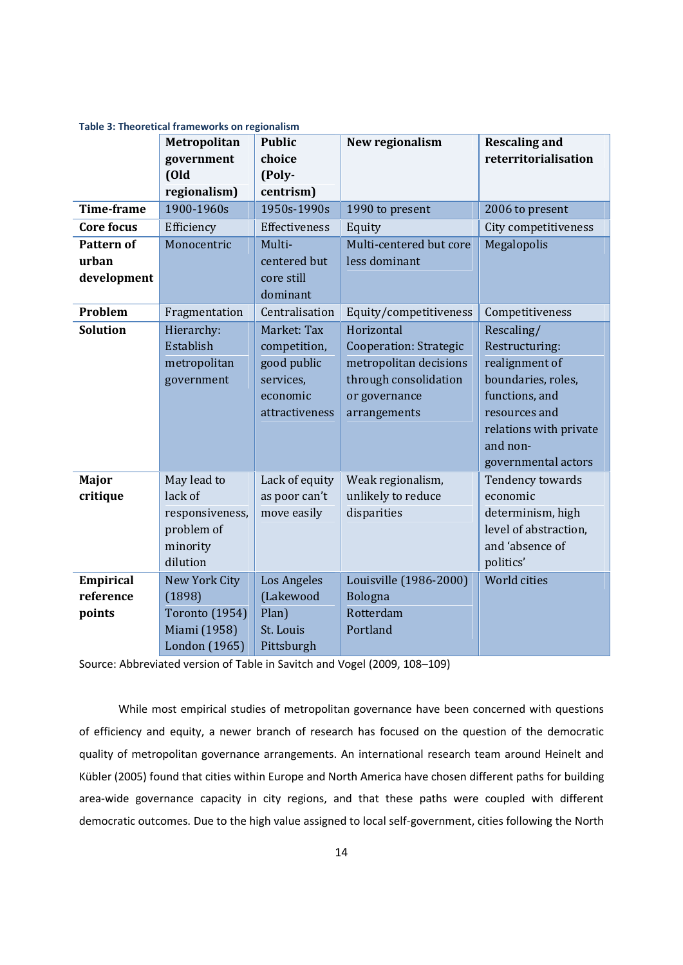|                   | Metropolitan<br><b>Public</b> |                | New regionalism               | <b>Rescaling and</b>   |
|-------------------|-------------------------------|----------------|-------------------------------|------------------------|
|                   | government                    | choice         |                               | reterritorialisation   |
|                   | (Old                          | (Poly-         |                               |                        |
|                   | regionalism)                  | centrism)      |                               |                        |
| <b>Time-frame</b> | 1900-1960s                    | 1950s-1990s    | 1990 to present               | 2006 to present        |
| <b>Core focus</b> | Efficiency                    | Effectiveness  | Equity                        | City competitiveness   |
| <b>Pattern of</b> | Monocentric                   | Multi-         | Multi-centered but core       | Megalopolis            |
| urban             |                               | centered but   | less dominant                 |                        |
| development       |                               | core still     |                               |                        |
|                   |                               | dominant       |                               |                        |
| Problem           | Fragmentation                 | Centralisation | Equity/competitiveness        | Competitiveness        |
| <b>Solution</b>   | Hierarchy:                    | Market: Tax    | Horizontal                    | Rescaling/             |
|                   | Establish                     | competition,   | <b>Cooperation: Strategic</b> | Restructuring:         |
|                   | metropolitan                  | good public    | metropolitan decisions        | realignment of         |
|                   | government                    | services,      | through consolidation         | boundaries, roles,     |
|                   |                               | economic       | or governance                 | functions, and         |
|                   |                               | attractiveness | arrangements                  | resources and          |
|                   |                               |                |                               | relations with private |
|                   |                               |                |                               | and non-               |
|                   |                               |                |                               | governmental actors    |
| Major             | May lead to                   | Lack of equity | Weak regionalism,             | Tendency towards       |
| critique          | lack of                       | as poor can't  | unlikely to reduce            | economic               |
|                   | responsiveness,               | move easily    | disparities                   | determinism, high      |
|                   | problem of                    |                |                               | level of abstraction,  |
|                   | minority                      |                |                               | and 'absence of        |
|                   | dilution                      |                |                               | politics'              |
| <b>Empirical</b>  | New York City                 | Los Angeles    | Louisville (1986-2000)        | World cities           |
| reference         | (1898)                        | (Lakewood      | Bologna                       |                        |
| points            | <b>Toronto (1954)</b>         | Plan)          | Rotterdam                     |                        |
|                   | Miami (1958)                  | St. Louis      | Portland                      |                        |
|                   | London (1965)                 | Pittsburgh     |                               |                        |

**Table 3: Theoretical frameworks on regionalism**

Source: Abbreviated version of Table in Savitch and Vogel (2009, 108–109)

While most empirical studies of metropolitan governance have been concerned with questions of efficiency and equity, a newer branch of research has focused on the question of the democratic quality of metropolitan governance arrangements. An international research team around Heinelt and Kübler (2005) found that cities within Europe and North America have chosen different paths for building area-wide governance capacity in city regions, and that these paths were coupled with different democratic outcomes. Due to the high value assigned to local self-government, cities following the North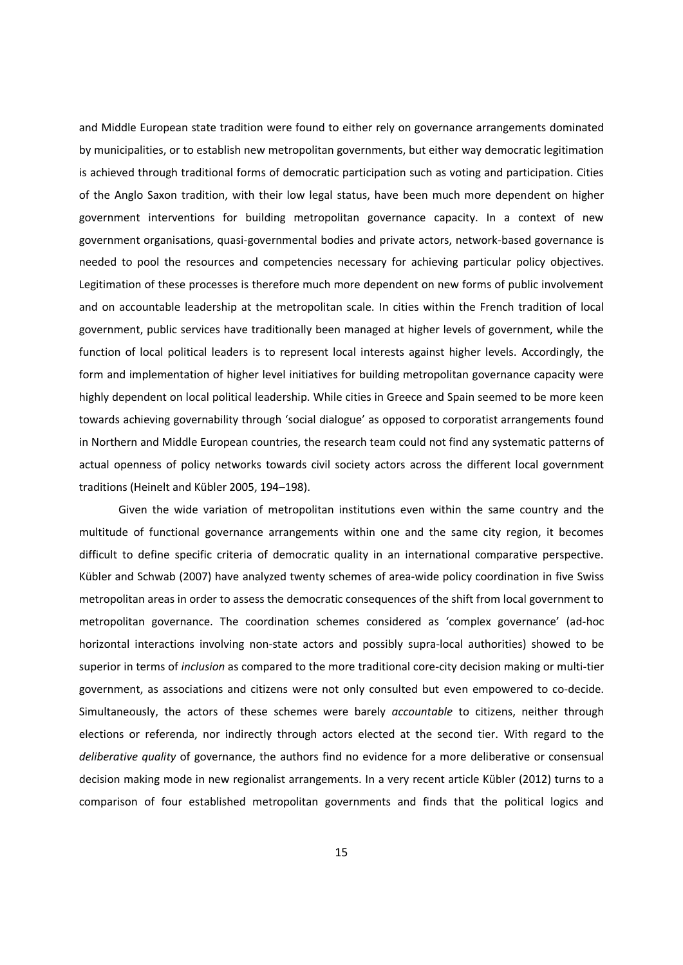and Middle European state tradition were found to either rely on governance arrangements dominated by municipalities, or to establish new metropolitan governments, but either way democratic legitimation is achieved through traditional forms of democratic participation such as voting and participation. Cities of the Anglo Saxon tradition, with their low legal status, have been much more dependent on higher government interventions for building metropolitan governance capacity. In a context of new government organisations, quasi-governmental bodies and private actors, network-based governance is needed to pool the resources and competencies necessary for achieving particular policy objectives. Legitimation of these processes is therefore much more dependent on new forms of public involvement and on accountable leadership at the metropolitan scale. In cities within the French tradition of local government, public services have traditionally been managed at higher levels of government, while the function of local political leaders is to represent local interests against higher levels. Accordingly, the form and implementation of higher level initiatives for building metropolitan governance capacity were highly dependent on local political leadership. While cities in Greece and Spain seemed to be more keen towards achieving governability through 'social dialogue' as opposed to corporatist arrangements found in Northern and Middle European countries, the research team could not find any systematic patterns of actual openness of policy networks towards civil society actors across the different local government traditions (Heinelt and Kübler 2005, 194–198).

Given the wide variation of metropolitan institutions even within the same country and the multitude of functional governance arrangements within one and the same city region, it becomes difficult to define specific criteria of democratic quality in an international comparative perspective. Kübler and Schwab (2007) have analyzed twenty schemes of area-wide policy coordination in five Swiss metropolitan areas in order to assess the democratic consequences of the shift from local government to metropolitan governance. The coordination schemes considered as 'complex governance' (ad-hoc horizontal interactions involving non-state actors and possibly supra-local authorities) showed to be superior in terms of *inclusion* as compared to the more traditional core-city decision making or multi-tier government, as associations and citizens were not only consulted but even empowered to co-decide. Simultaneously, the actors of these schemes were barely *accountable* to citizens, neither through elections or referenda, nor indirectly through actors elected at the second tier. With regard to the *deliberative quality* of governance, the authors find no evidence for a more deliberative or consensual decision making mode in new regionalist arrangements. In a very recent article Kübler (2012) turns to a comparison of four established metropolitan governments and finds that the political logics and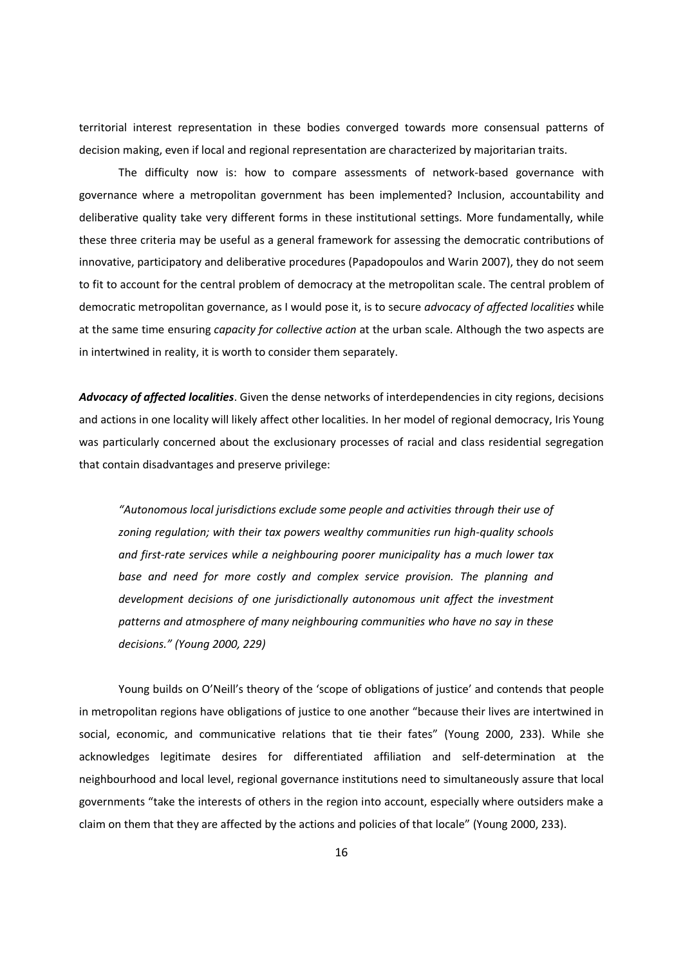territorial interest representation in these bodies converged towards more consensual patterns of decision making, even if local and regional representation are characterized by majoritarian traits.

The difficulty now is: how to compare assessments of network-based governance with governance where a metropolitan government has been implemented? Inclusion, accountability and deliberative quality take very different forms in these institutional settings. More fundamentally, while these three criteria may be useful as a general framework for assessing the democratic contributions of innovative, participatory and deliberative procedures (Papadopoulos and Warin 2007), they do not seem to fit to account for the central problem of democracy at the metropolitan scale. The central problem of democratic metropolitan governance, as I would pose it, is to secure *advocacy of affected localities* while at the same time ensuring *capacity for collective action* at the urban scale. Although the two aspects are in intertwined in reality, it is worth to consider them separately.

*Advocacy of affected localities*. Given the dense networks of interdependencies in city regions, decisions and actions in one locality will likely affect other localities. In her model of regional democracy, Iris Young was particularly concerned about the exclusionary processes of racial and class residential segregation that contain disadvantages and preserve privilege:

*"Autonomous local jurisdictions exclude some people and activities through their use of zoning regulation; with their tax powers wealthy communities run high-quality schools and first-rate services while a neighbouring poorer municipality has a much lower tax base and need for more costly and complex service provision. The planning and development decisions of one jurisdictionally autonomous unit affect the investment patterns and atmosphere of many neighbouring communities who have no say in these decisions." (Young 2000, 229)*

Young builds on O'Neill's theory of the 'scope of obligations of justice' and contends that people in metropolitan regions have obligations of justice to one another "because their lives are intertwined in social, economic, and communicative relations that tie their fates" (Young 2000, 233). While she acknowledges legitimate desires for differentiated affiliation and self-determination at the neighbourhood and local level, regional governance institutions need to simultaneously assure that local governments "take the interests of others in the region into account, especially where outsiders make a claim on them that they are affected by the actions and policies of that locale" (Young 2000, 233).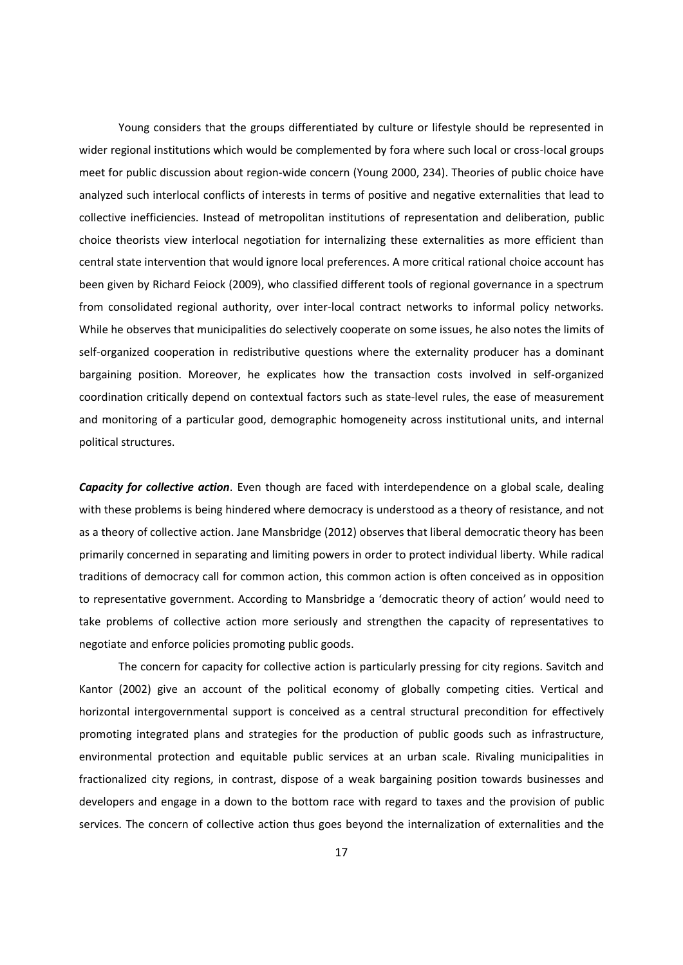Young considers that the groups differentiated by culture or lifestyle should be represented in wider regional institutions which would be complemented by fora where such local or cross-local groups meet for public discussion about region-wide concern (Young 2000, 234). Theories of public choice have analyzed such interlocal conflicts of interests in terms of positive and negative externalities that lead to collective inefficiencies. Instead of metropolitan institutions of representation and deliberation, public choice theorists view interlocal negotiation for internalizing these externalities as more efficient than central state intervention that would ignore local preferences. A more critical rational choice account has been given by Richard Feiock (2009), who classified different tools of regional governance in a spectrum from consolidated regional authority, over inter-local contract networks to informal policy networks. While he observes that municipalities do selectively cooperate on some issues, he also notes the limits of self-organized cooperation in redistributive questions where the externality producer has a dominant bargaining position. Moreover, he explicates how the transaction costs involved in self-organized coordination critically depend on contextual factors such as state-level rules, the ease of measurement and monitoring of a particular good, demographic homogeneity across institutional units, and internal political structures.

*Capacity for collective action*. Even though are faced with interdependence on a global scale, dealing with these problems is being hindered where democracy is understood as a theory of resistance, and not as a theory of collective action. Jane Mansbridge (2012) observes that liberal democratic theory has been primarily concerned in separating and limiting powers in order to protect individual liberty. While radical traditions of democracy call for common action, this common action is often conceived as in opposition to representative government. According to Mansbridge a 'democratic theory of action' would need to take problems of collective action more seriously and strengthen the capacity of representatives to negotiate and enforce policies promoting public goods.

The concern for capacity for collective action is particularly pressing for city regions. Savitch and Kantor (2002) give an account of the political economy of globally competing cities. Vertical and horizontal intergovernmental support is conceived as a central structural precondition for effectively promoting integrated plans and strategies for the production of public goods such as infrastructure, environmental protection and equitable public services at an urban scale. Rivaling municipalities in fractionalized city regions, in contrast, dispose of a weak bargaining position towards businesses and developers and engage in a down to the bottom race with regard to taxes and the provision of public services. The concern of collective action thus goes beyond the internalization of externalities and the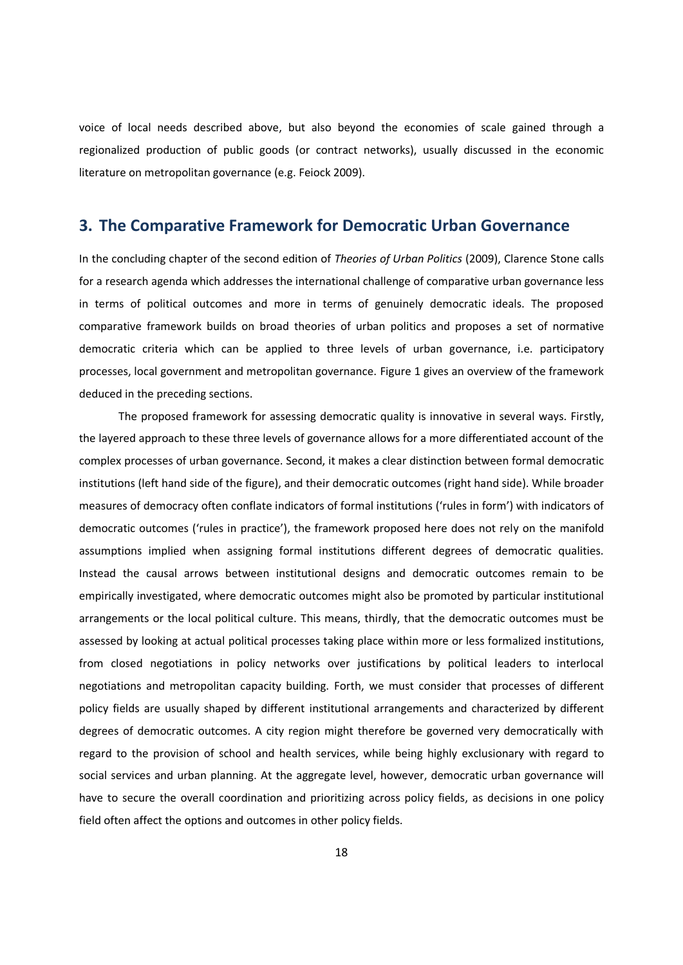voice of local needs described above, but also beyond the economies of scale gained through a regionalized production of public goods (or contract networks), usually discussed in the economic literature on metropolitan governance (e.g. Feiock 2009).

## **3. The Comparative Framework for Democratic Urban Governance**

In the concluding chapter of the second edition of *Theories of Urban Politics* (2009), Clarence Stone calls for a research agenda which addresses the international challenge of comparative urban governance less in terms of political outcomes and more in terms of genuinely democratic ideals. The proposed comparative framework builds on broad theories of urban politics and proposes a set of normative democratic criteria which can be applied to three levels of urban governance, i.e. participatory processes, local government and metropolitan governance. Figure 1 gives an overview of the framework deduced in the preceding sections.

The proposed framework for assessing democratic quality is innovative in several ways. Firstly, the layered approach to these three levels of governance allows for a more differentiated account of the complex processes of urban governance. Second, it makes a clear distinction between formal democratic institutions (left hand side of the figure), and their democratic outcomes (right hand side). While broader measures of democracy often conflate indicators of formal institutions ('rules in form') with indicators of democratic outcomes ('rules in practice'), the framework proposed here does not rely on the manifold assumptions implied when assigning formal institutions different degrees of democratic qualities. Instead the causal arrows between institutional designs and democratic outcomes remain to be empirically investigated, where democratic outcomes might also be promoted by particular institutional arrangements or the local political culture. This means, thirdly, that the democratic outcomes must be assessed by looking at actual political processes taking place within more or less formalized institutions, from closed negotiations in policy networks over justifications by political leaders to interlocal negotiations and metropolitan capacity building. Forth, we must consider that processes of different policy fields are usually shaped by different institutional arrangements and characterized by different degrees of democratic outcomes. A city region might therefore be governed very democratically with regard to the provision of school and health services, while being highly exclusionary with regard to social services and urban planning. At the aggregate level, however, democratic urban governance will have to secure the overall coordination and prioritizing across policy fields, as decisions in one policy field often affect the options and outcomes in other policy fields.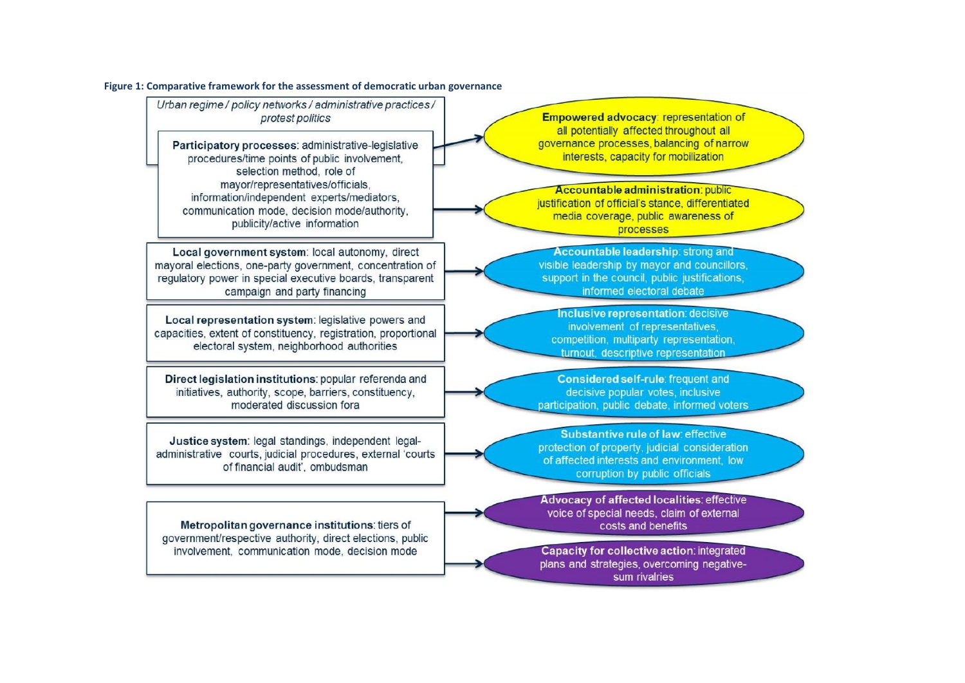#### **Figure 1: Comparative framework for the assessment of democratic urban governance**

Urban regime / policy networks / administrative practices / protest politics

Participatory processes: administrative-legislative procedures/time points of public involvement, selection method, role of mavor/representatives/officials. information/independent\_experts/mediators. communication mode, decision mode/authority, publicity/active information

Local government system: local autonomy, direct mayoral elections, one-party government, concentration of regulatory power in special executive boards, transparent campaign and party financing

Local representation system: legislative powers and capacities, extent of constituency, registration, proportional electoral system, neighborhood authorities

Direct legislation institutions: popular referenda and initiatives, authority, scope, barriers, constituency, moderated discussion fora

Justice system: legal standings, independent legaladministrative courts, judicial procedures, external 'courts of financial audit', ombudsman

Metropolitan governance institutions: tiers of government/respective authority, direct elections, public involvement, communication mode, decision mode

Empowered advocacy: representation of all potentially affected throughout all governance processes, balancing of narrow interests, capacity for mobilization

**Accountable administration: public** justification of official's stance, differentiated media coverage, public awareness of processes

Accountable leadership: strong and visible leadership by mayor and councillors. support in the council, public justifications, informed electoral debate

**Inclusive representation: decisive** involvement of representatives, competition, multiparty representation, turnout, descriptive representation

Considered self-rule: frequent and decisive popular votes, inclusive participation, public debate, informed voters

Substantive rule of law: effective protection of property, judicial consideration of affected interests and environment. low corruption by public officials

Advocacy of affected localities: effective voice of special needs, claim of external costs and benefits

Capacity for collective action: integrated plans and strategies, overcoming negativesum rivalries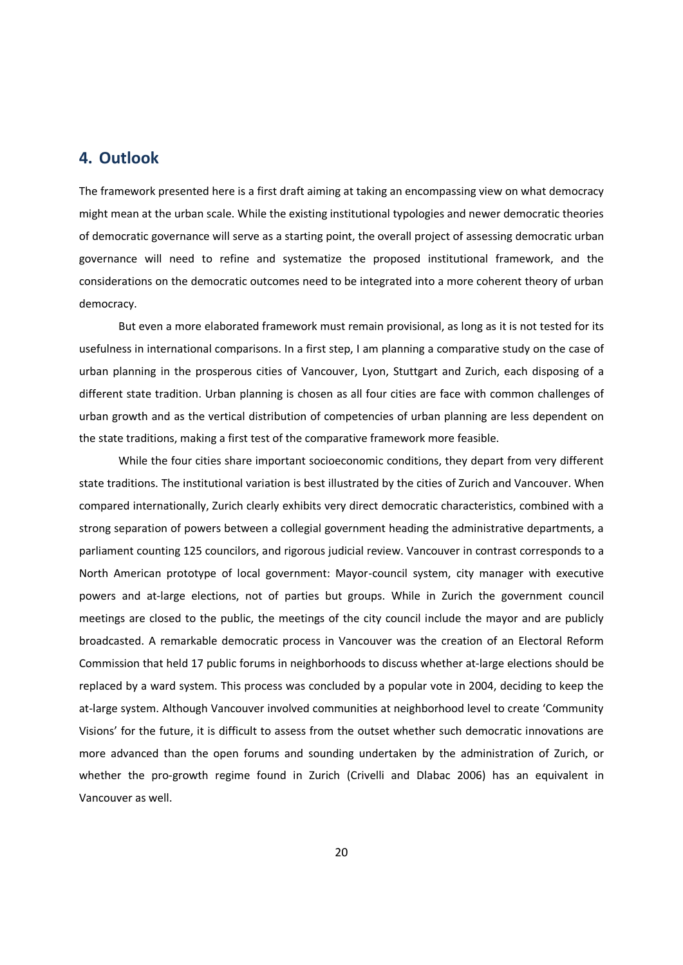## **4. Outlook**

The framework presented here is a first draft aiming at taking an encompassing view on what democracy might mean at the urban scale. While the existing institutional typologies and newer democratic theories of democratic governance will serve as a starting point, the overall project of assessing democratic urban governance will need to refine and systematize the proposed institutional framework, and the considerations on the democratic outcomes need to be integrated into a more coherent theory of urban democracy.

But even a more elaborated framework must remain provisional, as long as it is not tested for its usefulness in international comparisons. In a first step, I am planning a comparative study on the case of urban planning in the prosperous cities of Vancouver, Lyon, Stuttgart and Zurich, each disposing of a different state tradition. Urban planning is chosen as all four cities are face with common challenges of urban growth and as the vertical distribution of competencies of urban planning are less dependent on the state traditions, making a first test of the comparative framework more feasible.

While the four cities share important socioeconomic conditions, they depart from very different state traditions. The institutional variation is best illustrated by the cities of Zurich and Vancouver. When compared internationally, Zurich clearly exhibits very direct democratic characteristics, combined with a strong separation of powers between a collegial government heading the administrative departments, a parliament counting 125 councilors, and rigorous judicial review. Vancouver in contrast corresponds to a North American prototype of local government: Mayor-council system, city manager with executive powers and at-large elections, not of parties but groups. While in Zurich the government council meetings are closed to the public, the meetings of the city council include the mayor and are publicly broadcasted. A remarkable democratic process in Vancouver was the creation of an Electoral Reform Commission that held 17 public forums in neighborhoods to discuss whether at-large elections should be replaced by a ward system. This process was concluded by a popular vote in 2004, deciding to keep the at-large system. Although Vancouver involved communities at neighborhood level to create 'Community Visions' for the future, it is difficult to assess from the outset whether such democratic innovations are more advanced than the open forums and sounding undertaken by the administration of Zurich, or whether the pro-growth regime found in Zurich (Crivelli and Dlabac 2006) has an equivalent in Vancouver as well.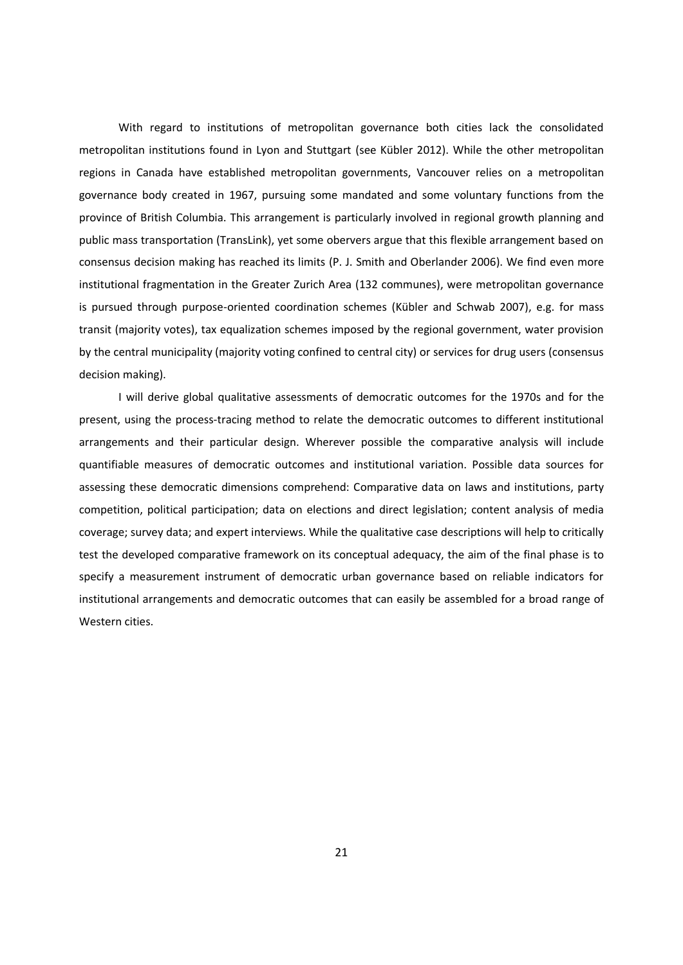With regard to institutions of metropolitan governance both cities lack the consolidated metropolitan institutions found in Lyon and Stuttgart (see Kübler 2012). While the other metropolitan regions in Canada have established metropolitan governments, Vancouver relies on a metropolitan governance body created in 1967, pursuing some mandated and some voluntary functions from the province of British Columbia. This arrangement is particularly involved in regional growth planning and public mass transportation (TransLink), yet some obervers argue that this flexible arrangement based on consensus decision making has reached its limits (P. J. Smith and Oberlander 2006). We find even more institutional fragmentation in the Greater Zurich Area (132 communes), were metropolitan governance is pursued through purpose-oriented coordination schemes (Kübler and Schwab 2007), e.g. for mass transit (majority votes), tax equalization schemes imposed by the regional government, water provision by the central municipality (majority voting confined to central city) or services for drug users (consensus decision making).

I will derive global qualitative assessments of democratic outcomes for the 1970s and for the present, using the process-tracing method to relate the democratic outcomes to different institutional arrangements and their particular design. Wherever possible the comparative analysis will include quantifiable measures of democratic outcomes and institutional variation. Possible data sources for assessing these democratic dimensions comprehend: Comparative data on laws and institutions, party competition, political participation; data on elections and direct legislation; content analysis of media coverage; survey data; and expert interviews. While the qualitative case descriptions will help to critically test the developed comparative framework on its conceptual adequacy, the aim of the final phase is to specify a measurement instrument of democratic urban governance based on reliable indicators for institutional arrangements and democratic outcomes that can easily be assembled for a broad range of Western cities.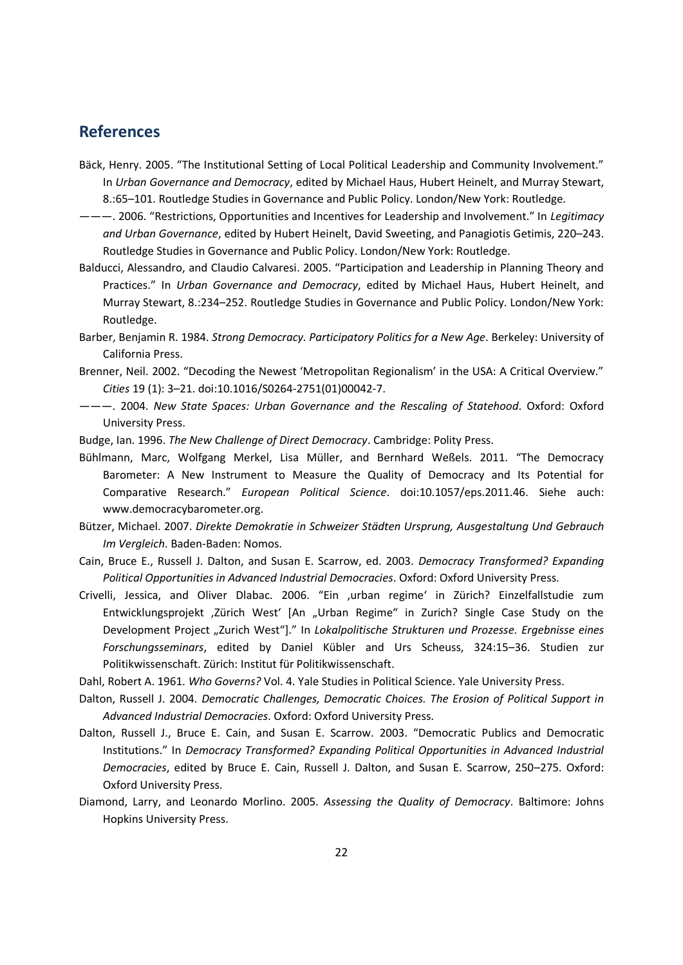# **References**

- Bäck, Henry. 2005. "The Institutional Setting of Local Political Leadership and Community Involvement." In *Urban Governance and Democracy*, edited by Michael Haus, Hubert Heinelt, and Murray Stewart, 8.:65–101. Routledge Studies in Governance and Public Policy. London/New York: Routledge.
- ———. 2006. "Restrictions, Opportunities and Incentives for Leadership and Involvement." In *Legitimacy and Urban Governance*, edited by Hubert Heinelt, David Sweeting, and Panagiotis Getimis, 220–243. Routledge Studies in Governance and Public Policy. London/New York: Routledge.
- Balducci, Alessandro, and Claudio Calvaresi. 2005. "Participation and Leadership in Planning Theory and Practices." In *Urban Governance and Democracy*, edited by Michael Haus, Hubert Heinelt, and Murray Stewart, 8.:234–252. Routledge Studies in Governance and Public Policy. London/New York: Routledge.
- Barber, Benjamin R. 1984. *Strong Democracy. Participatory Politics for a New Age*. Berkeley: University of California Press.
- Brenner, Neil. 2002. "Decoding the Newest 'Metropolitan Regionalism' in the USA: A Critical Overview." *Cities* 19 (1): 3–21. doi:10.1016/S0264-2751(01)00042-7.
- ———. 2004. *New State Spaces: Urban Governance and the Rescaling of Statehood*. Oxford: Oxford University Press.
- Budge, Ian. 1996. *The New Challenge of Direct Democracy*. Cambridge: Polity Press.
- Bühlmann, Marc, Wolfgang Merkel, Lisa Müller, and Bernhard Weßels. 2011. "The Democracy Barometer: A New Instrument to Measure the Quality of Democracy and Its Potential for Comparative Research." *European Political Science*. doi:10.1057/eps.2011.46. Siehe auch: www.democracybarometer.org.
- Bützer, Michael. 2007. *Direkte Demokratie in Schweizer Städten Ursprung, Ausgestaltung Und Gebrauch Im Vergleich*. Baden-Baden: Nomos.
- Cain, Bruce E., Russell J. Dalton, and Susan E. Scarrow, ed. 2003. *Democracy Transformed? Expanding Political Opportunities in Advanced Industrial Democracies*. Oxford: Oxford University Press.
- Crivelli, Jessica, and Oliver Dlabac. 2006. "Ein ,urban regime' in Zürich? Einzelfallstudie zum Entwicklungsprojekt ,Zürich West' [An "Urban Regime" in Zurich? Single Case Study on the Development Project "Zurich West"]." In *Lokalpolitische Strukturen und Prozesse. Ergebnisse eines Forschungsseminars*, edited by Daniel Kübler and Urs Scheuss, 324:15–36. Studien zur Politikwissenschaft. Zürich: Institut für Politikwissenschaft.

Dahl, Robert A. 1961. *Who Governs?* Vol. 4. Yale Studies in Political Science. Yale University Press.

- Dalton, Russell J. 2004. *Democratic Challenges, Democratic Choices. The Erosion of Political Support in Advanced Industrial Democracies*. Oxford: Oxford University Press.
- Dalton, Russell J., Bruce E. Cain, and Susan E. Scarrow. 2003. "Democratic Publics and Democratic Institutions." In *Democracy Transformed? Expanding Political Opportunities in Advanced Industrial Democracies*, edited by Bruce E. Cain, Russell J. Dalton, and Susan E. Scarrow, 250–275. Oxford: Oxford University Press.
- Diamond, Larry, and Leonardo Morlino. 2005. *Assessing the Quality of Democracy*. Baltimore: Johns Hopkins University Press.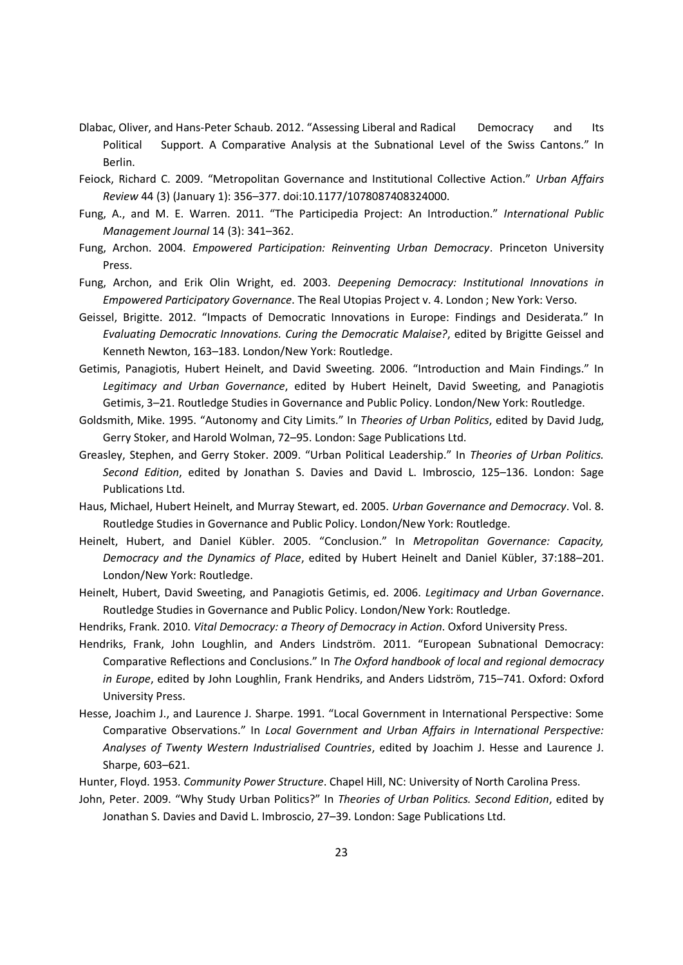- Dlabac, Oliver, and Hans-Peter Schaub. 2012. "Assessing Liberal and Radical Democracy and Its Political Support. A Comparative Analysis at the Subnational Level of the Swiss Cantons." In Berlin.
- Feiock, Richard C. 2009. "Metropolitan Governance and Institutional Collective Action." *Urban Affairs Review* 44 (3) (January 1): 356–377. doi:10.1177/1078087408324000.
- Fung, A., and M. E. Warren. 2011. "The Participedia Project: An Introduction." *International Public Management Journal* 14 (3): 341–362.
- Fung, Archon. 2004. *Empowered Participation: Reinventing Urban Democracy*. Princeton University Press.
- Fung, Archon, and Erik Olin Wright, ed. 2003. *Deepening Democracy: Institutional Innovations in Empowered Participatory Governance*. The Real Utopias Project v. 4. London ; New York: Verso.
- Geissel, Brigitte. 2012. "Impacts of Democratic Innovations in Europe: Findings and Desiderata." In *Evaluating Democratic Innovations. Curing the Democratic Malaise?*, edited by Brigitte Geissel and Kenneth Newton, 163–183. London/New York: Routledge.
- Getimis, Panagiotis, Hubert Heinelt, and David Sweeting. 2006. "Introduction and Main Findings." In *Legitimacy and Urban Governance*, edited by Hubert Heinelt, David Sweeting, and Panagiotis Getimis, 3–21. Routledge Studies in Governance and Public Policy. London/New York: Routledge.
- Goldsmith, Mike. 1995. "Autonomy and City Limits." In *Theories of Urban Politics*, edited by David Judg, Gerry Stoker, and Harold Wolman, 72–95. London: Sage Publications Ltd.
- Greasley, Stephen, and Gerry Stoker. 2009. "Urban Political Leadership." In *Theories of Urban Politics. Second Edition*, edited by Jonathan S. Davies and David L. Imbroscio, 125–136. London: Sage Publications Ltd.
- Haus, Michael, Hubert Heinelt, and Murray Stewart, ed. 2005. *Urban Governance and Democracy*. Vol. 8. Routledge Studies in Governance and Public Policy. London/New York: Routledge.
- Heinelt, Hubert, and Daniel Kübler. 2005. "Conclusion." In *Metropolitan Governance: Capacity, Democracy and the Dynamics of Place*, edited by Hubert Heinelt and Daniel Kübler, 37:188–201. London/New York: Routledge.
- Heinelt, Hubert, David Sweeting, and Panagiotis Getimis, ed. 2006. *Legitimacy and Urban Governance*. Routledge Studies in Governance and Public Policy. London/New York: Routledge.
- Hendriks, Frank. 2010. *Vital Democracy: a Theory of Democracy in Action*. Oxford University Press.
- Hendriks, Frank, John Loughlin, and Anders Lindström. 2011. "European Subnational Democracy: Comparative Reflections and Conclusions." In *The Oxford handbook of local and regional democracy in Europe*, edited by John Loughlin, Frank Hendriks, and Anders Lidström, 715–741. Oxford: Oxford University Press.
- Hesse, Joachim J., and Laurence J. Sharpe. 1991. "Local Government in International Perspective: Some Comparative Observations." In *Local Government and Urban Affairs in International Perspective: Analyses of Twenty Western Industrialised Countries*, edited by Joachim J. Hesse and Laurence J. Sharpe, 603–621.
- Hunter, Floyd. 1953. *Community Power Structure*. Chapel Hill, NC: University of North Carolina Press.
- John, Peter. 2009. "Why Study Urban Politics?" In *Theories of Urban Politics. Second Edition*, edited by Jonathan S. Davies and David L. Imbroscio, 27–39. London: Sage Publications Ltd.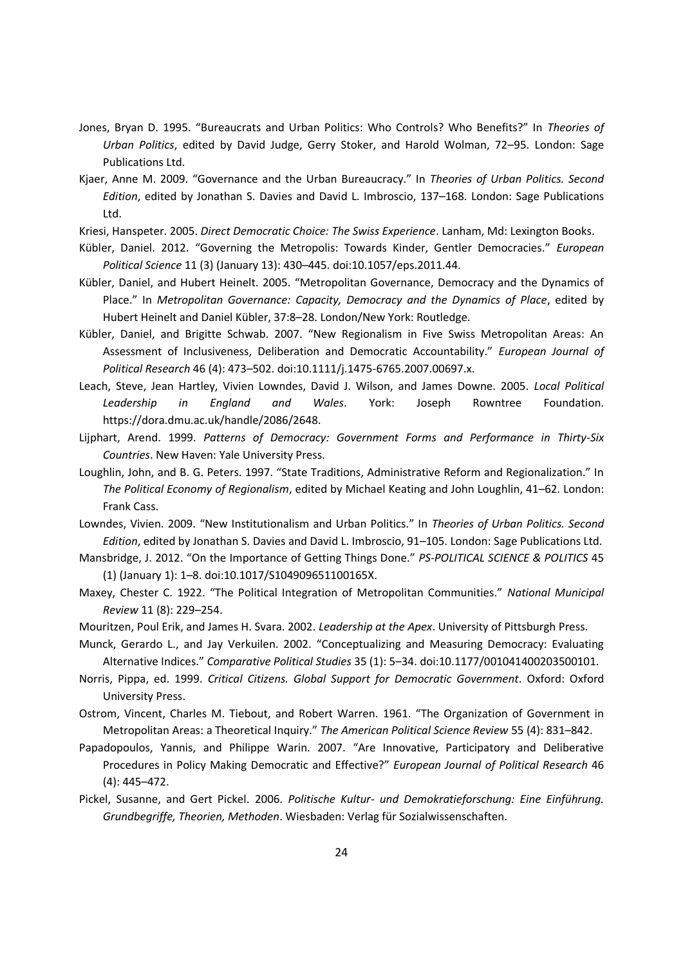- Jones, Bryan D. 1995. "Bureaucrats and Urban Politics: Who Controls? Who Benefits?" In *Theories of Urban Politics*, edited by David Judge, Gerry Stoker, and Harold Wolman, 72–95. London: Sage Publications Ltd.
- Kjaer, Anne M. 2009. "Governance and the Urban Bureaucracy." In *Theories of Urban Politics. Second Edition*, edited by Jonathan S. Davies and David L. Imbroscio, 137–168. London: Sage Publications Ltd.

Kriesi, Hanspeter. 2005. *Direct Democratic Choice: The Swiss Experience*. Lanham, Md: Lexington Books.

- Kübler, Daniel. 2012. "Governing the Metropolis: Towards Kinder, Gentler Democracies." *European Political Science* 11 (3) (January 13): 430–445. doi:10.1057/eps.2011.44.
- Kübler, Daniel, and Hubert Heinelt. 2005. "Metropolitan Governance, Democracy and the Dynamics of Place." In *Metropolitan Governance: Capacity, Democracy and the Dynamics of Place*, edited by Hubert Heinelt and Daniel Kübler, 37:8–28. London/New York: Routledge.
- Kübler, Daniel, and Brigitte Schwab. 2007. "New Regionalism in Five Swiss Metropolitan Areas: An Assessment of Inclusiveness, Deliberation and Democratic Accountability." *European Journal of Political Research* 46 (4): 473–502. doi:10.1111/j.1475-6765.2007.00697.x.
- Leach, Steve, Jean Hartley, Vivien Lowndes, David J. Wilson, and James Downe. 2005. *Local Political Leadership in England and Wales*. York: Joseph Rowntree Foundation. https://dora.dmu.ac.uk/handle/2086/2648.
- Lijphart, Arend. 1999. *Patterns of Democracy: Government Forms and Performance in Thirty-Six Countries*. New Haven: Yale University Press.
- Loughlin, John, and B. G. Peters. 1997. "State Traditions, Administrative Reform and Regionalization." In *The Political Economy of Regionalism*, edited by Michael Keating and John Loughlin, 41–62. London: Frank Cass.

Lowndes, Vivien. 2009. "New Institutionalism and Urban Politics." In *Theories of Urban Politics. Second Edition*, edited by Jonathan S. Davies and David L. Imbroscio, 91–105. London: Sage Publications Ltd.

- Mansbridge, J. 2012. "On the Importance of Getting Things Done." *PS-POLITICAL SCIENCE & POLITICS* 45 (1) (January 1): 1–8. doi:10.1017/S104909651100165X.
- Maxey, Chester C. 1922. "The Political Integration of Metropolitan Communities." *National Municipal Review* 11 (8): 229–254.
- Mouritzen, Poul Erik, and James H. Svara. 2002. *Leadership at the Apex*. University of Pittsburgh Press.
- Munck, Gerardo L., and Jay Verkuilen. 2002. "Conceptualizing and Measuring Democracy: Evaluating Alternative Indices." *Comparative Political Studies* 35 (1): 5–34. doi:10.1177/001041400203500101.
- Norris, Pippa, ed. 1999. *Critical Citizens. Global Support for Democratic Government*. Oxford: Oxford University Press.
- Ostrom, Vincent, Charles M. Tiebout, and Robert Warren. 1961. "The Organization of Government in Metropolitan Areas: a Theoretical Inquiry." *The American Political Science Review* 55 (4): 831–842.
- Papadopoulos, Yannis, and Philippe Warin. 2007. "Are Innovative, Participatory and Deliberative Procedures in Policy Making Democratic and Effective?" *European Journal of Political Research* 46 (4): 445–472.
- Pickel, Susanne, and Gert Pickel. 2006. *Politische Kultur- und Demokratieforschung: Eine Einführung. Grundbegriffe, Theorien, Methoden*. Wiesbaden: Verlag für Sozialwissenschaften.